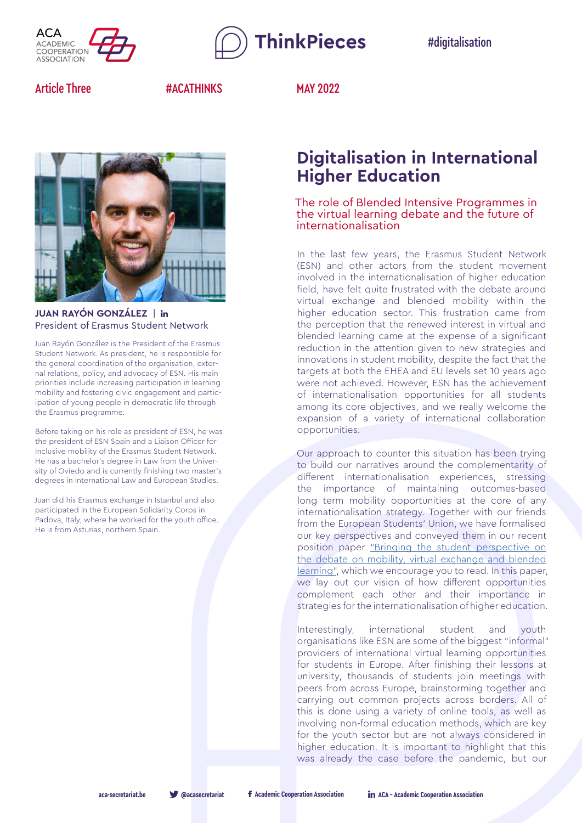

**ThinkPieces** 

#digitalisation

Article Three **#ACATHINKS** MAY 2022



# **JUAN RAYÓN GONZÁLEZ** | President of Erasmus Student Network

Juan Rayón González is the President of the Erasmus Student Network. As president, he is responsible for the general coordination of the organisation, external relations, policy, and advocacy of ESN. His main priorities include increasing participation in learning mobility and fostering civic engagement and participation of young people in democratic life through the Erasmus programme.

Before taking on his role as president of ESN, he was the president of ESN Spain and a Liaison Officer for Inclusive mobility of the Erasmus Student Network. He has a bachelor's degree in Law from the University of Oviedo and is currently finishing two master's degrees in International Law and European Studies.

Juan did his Erasmus exchange in Istanbul and also participated in the European Solidarity Corps in Padova, Italy, where he worked for the youth office. He is from Asturias, northern Spain.

# **Digitalisation in International Higher Education**

The role of Blended Intensive Programmes in the virtual learning debate and the future of internationalisation

In the last few years, the Erasmus Student Network (ESN) and other actors from the student movement involved in the internationalisation of higher education field, have felt quite frustrated with the debate around virtual exchange and blended mobility within the higher education sector. This frustration came from the perception that the renewed interest in virtual and blended learning came at the expense of a significant reduction in the attention given to new strategies and innovations in student mobility, despite the fact that the targets at both the EHEA and EU levels set 10 years ago were not achieved. However, ESN has the achievement of internationalisation opportunities for all students among its core objectives, and we really welcome the expansion of a variety of international collaboration opportunities.

Our approach to counter this situation has been trying to build our narratives around the complementarity of different internationalisation experiences, stressing the importance of maintaining outcomes-based long term mobility opportunities at the core of any internationalisation strategy. Together with our friends from the European Students' Union, we have formalised our key perspectives and conveyed them in our recent position paper ["Bringing the student perspective on](https://www.esn.org/news/esu-esn-position-paper-mobility-virtual-exchange-blended-learning)  [the debate on mobility, virtual exchange and blended](https://www.esn.org/news/esu-esn-position-paper-mobility-virtual-exchange-blended-learning)  [learning"](https://www.esn.org/news/esu-esn-position-paper-mobility-virtual-exchange-blended-learning), which we encourage you to read. In this paper, we lay out our vision of how different opportunities complement each other and their importance in strategies for the internationalisation of higher education.

Interestingly, international student and youth organisations like ESN are some of the biggest "informal" providers of international virtual learning opportunities for students in Europe. After finishing their lessons at university, thousands of students join meetings with peers from across Europe, brainstorming together and carrying out common projects across borders. All of this is done using a variety of online tools, as well as involving non-formal education methods, which are key for the youth sector but are not always considered in higher education. It is important to highlight that this was already the case before the pandemic, but our

**[aca-secretariat.be](https://aca-secretariat.be) [@acasecretariat](https://twitter.com/ACASecretariat) [Academic Cooperation Association](https://www.facebook.com/AcademicCooperationAssociation) [ACA - Academic Cooperation Association](https://www.linkedin.com/company/aca---academic-cooperation-assocation/)**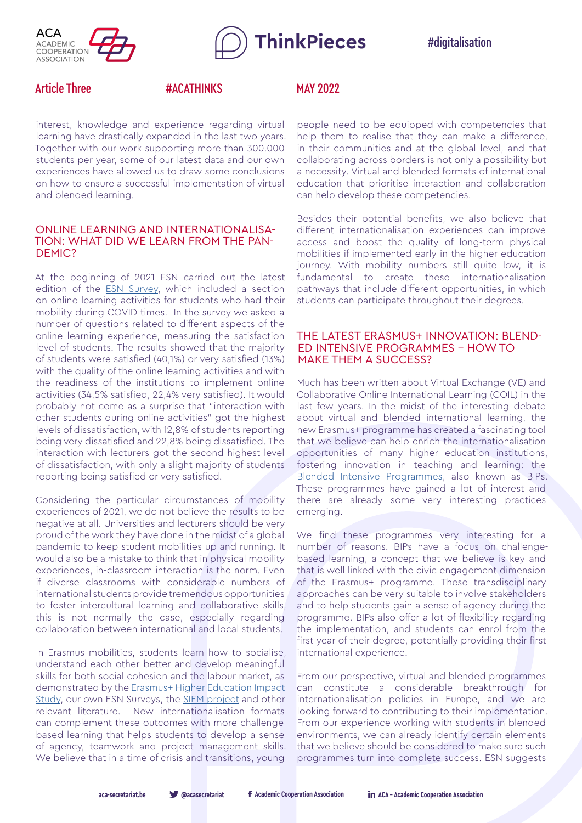

**ThinkPieces** 

#digitalisation

# Article Three **#ACATHINKS** MAY 2022

interest, knowledge and experience regarding virtual learning have drastically expanded in the last two years. Together with our work supporting more than 300.000 students per year, some of our latest data and our own experiences have allowed us to draw some conclusions on how to ensure a successful implementation of virtual and blended learning.

## ONLINE LEARNING AND INTERNATIONALISA-TION: WHAT DID WE LEARN FROM THE PAN-DEMIC?

At the beginning of 2021 ESN carried out the latest edition of the **ESN Survey**, which included a section on online learning activities for students who had their mobility during COVID times. In the survey we asked a number of questions related to different aspects of the online learning experience, measuring the satisfaction level of students. The results showed that the majority of students were satisfied (40,1%) or very satisfied (13%) with the quality of the online learning activities and with the readiness of the institutions to implement online activities (34,5% satisfied, 22,4% very satisfied). It would probably not come as a surprise that "interaction with other students during online activities" got the highest levels of dissatisfaction, with 12,8% of students reporting being very dissatisfied and 22,8% being dissatisfied. The interaction with lecturers got the second highest level of dissatisfaction, with only a slight majority of students reporting being satisfied or very satisfied.

Considering the particular circumstances of mobility experiences of 2021, we do not believe the results to be negative at all. Universities and lecturers should be very proud of the work they have done in the midst of a global pandemic to keep student mobilities up and running. It would also be a mistake to think that in physical mobility experiences, in-classroom interaction is the norm. Even if diverse classrooms with considerable numbers of international students provide tremendous opportunities to foster intercultural learning and collaborative skills, this is not normally the case, especially regarding collaboration between international and local students.

In Erasmus mobilities, students learn how to socialise, understand each other better and develop meaningful skills for both social cohesion and the labour market, as demonstrated by the Erasmus+ Higher Education Impact [Study,](https://op.europa.eu/en/publication-detail/-/publication/94d97f5c-7ae2-11e9-9f05-01aa75ed71a1/language-en) our own ESN Surveys, the [SIEM project](https://siem-project.eu/) and other relevant literature. New internationalisation formats can complement these outcomes with more challengebased learning that helps students to develop a sense of agency, teamwork and project management skills. We believe that in a time of crisis and transitions, young

people need to be equipped with competencies that help them to realise that they can make a difference, in their communities and at the global level, and that collaborating across borders is not only a possibility but a necessity. Virtual and blended formats of international education that prioritise interaction and collaboration can help develop these competencies.

Besides their potential benefits, we also believe that different internationalisation experiences can improve access and boost the quality of long-term physical mobilities if implemented early in the higher education journey. With mobility numbers still quite low, it is fundamental to create these internationalisation pathways that include different opportunities, in which students can participate throughout their degrees.

# THE LATEST ERASMUS+ INNOVATION: BLEND-ED INTENSIVE PROGRAMMES - HOW TO MAKE THEM A SUCCESS?

Much has been written about Virtual Exchange (VE) and Collaborative Online International Learning (COIL) in the last few years. In the midst of the interesting debate about virtual and blended international learning, the new Erasmus+ programme has created a fascinating tool that we believe can help enrich the internationalisation opportunities of many higher education institutions, fostering innovation in teaching and learning: the [Blended Intensive Programmes,](https://erasmus-plus.ec.europa.eu/programme-guide/part-b-information-about-the-actions-covered-by-this-guidekey-action-1-learning-mobility-of-individualsmobility-project-for-higher-education-students-and-staff#:~:text=Blended%20intensive%20programmes%20have%20to,to%20be%20eligible%20for%20funding.) also known as BIPs. These programmes have gained a lot of interest and there are already some very interesting practices emerging.

We find these programmes very interesting for a number of reasons. BIPs have a focus on challengebased learning, a concept that we believe is key and that is well linked with the civic engagement dimension of the Erasmus+ programme. These transdisciplinary approaches can be very suitable to involve stakeholders and to help students gain a sense of agency during the programme. BIPs also offer a lot of flexibility regarding the implementation, and students can enrol from the first year of their degree, potentially providing their first international experience.

From our perspective, virtual and blended programmes can constitute a considerable breakthrough for internationalisation policies in Europe, and we are looking forward to contributing to their implementation. From our experience working with students in blended environments, we can already identify certain elements that we believe should be considered to make sure such programmes turn into complete success. ESN suggests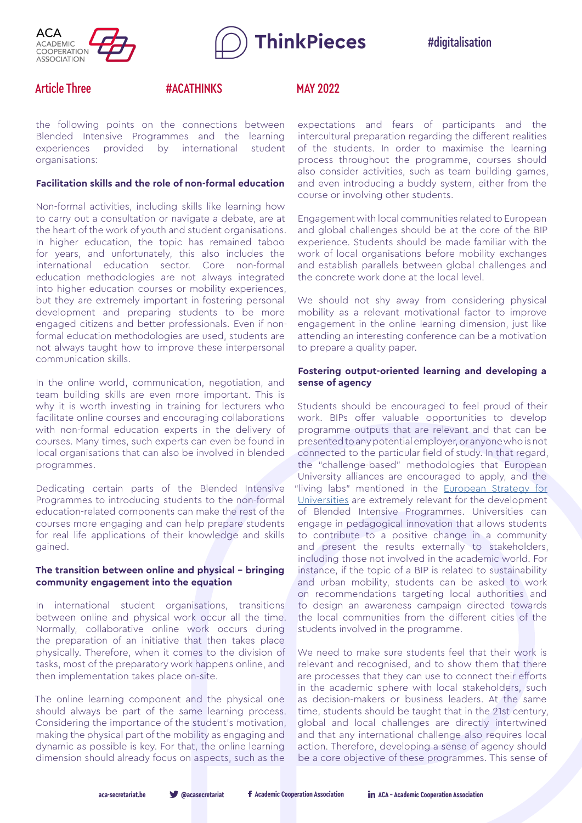



# Article Three **#ACATHINKS** MAY 2022

the following points on the connections between Blended Intensive Programmes and the learning experiences provided by international student organisations:

### **Facilitation skills and the role of non-formal education**

Non-formal activities, including skills like learning how to carry out a consultation or navigate a debate, are at the heart of the work of youth and student organisations. In higher education, the topic has remained taboo for years, and unfortunately, this also includes the international education sector. Core non-formal education methodologies are not always integrated into higher education courses or mobility experiences, but they are extremely important in fostering personal development and preparing students to be more engaged citizens and better professionals. Even if nonformal education methodologies are used, students are not always taught how to improve these interpersonal communication skills.

In the online world, communication, negotiation, and team building skills are even more important. This is why it is worth investing in training for lecturers who facilitate online courses and encouraging collaborations with non-formal education experts in the delivery of courses. Many times, such experts can even be found in local organisations that can also be involved in blended programmes.

Dedicating certain parts of the Blended Intensive Programmes to introducing students to the non-formal education-related components can make the rest of the courses more engaging and can help prepare students for real life applications of their knowledge and skills gained.

### **The transition between online and physical - bringing community engagement into the equation**

In international student organisations, transitions between online and physical work occur all the time. Normally, collaborative online work occurs during the preparation of an initiative that then takes place physically. Therefore, when it comes to the division of tasks, most of the preparatory work happens online, and then implementation takes place on-site.

The online learning component and the physical one should always be part of the same learning process. Considering the importance of the student's motivation, making the physical part of the mobility as engaging and dynamic as possible is key. For that, the online learning dimension should already focus on aspects, such as the

expectations and fears of participants and the intercultural preparation regarding the different realities of the students. In order to maximise the learning process throughout the programme, courses should also consider activities, such as team building games, and even introducing a buddy system, either from the course or involving other students.

Engagement with local communities related to European and global challenges should be at the core of the BIP experience. Students should be made familiar with the work of local organisations before mobility exchanges and establish parallels between global challenges and the concrete work done at the local level.

We should not shy away from considering physical mobility as a relevant motivational factor to improve engagement in the online learning dimension, just like attending an interesting conference can be a motivation to prepare a quality paper.

### **Fostering output-oriented learning and developing a sense of agency**

Students should be encouraged to feel proud of their work. BIPs offer valuable opportunities to develop programme outputs that are relevant and that can be presented to any potential employer, or anyone who is not connected to the particular field of study. In that regard, the "challenge-based" methodologies that European University alliances are encouraged to apply, and the "living labs" mentioned in the [European Strategy for](https://education.ec.europa.eu/sites/default/files/2022-01/communication-european-strategy-for-universities-graphic-version.pdf) [Universities](https://education.ec.europa.eu/sites/default/files/2022-01/communication-european-strategy-for-universities-graphic-version.pdf) are extremely relevant for the development of Blended Intensive Programmes. Universities can engage in pedagogical innovation that allows students to contribute to a positive change in a community and present the results externally to stakeholders, including those not involved in the academic world. For instance, if the topic of a BIP is related to sustainability and urban mobility, students can be asked to work on recommendations targeting local authorities and to design an awareness campaign directed towards the local communities from the different cities of the students involved in the programme.

We need to make sure students feel that their work is relevant and recognised, and to show them that there are processes that they can use to connect their efforts in the academic sphere with local stakeholders, such as decision-makers or business leaders. At the same time, students should be taught that in the 21st century, global and local challenges are directly intertwined and that any international challenge also requires local action. Therefore, developing a sense of agency should be a core objective of these programmes. This sense of